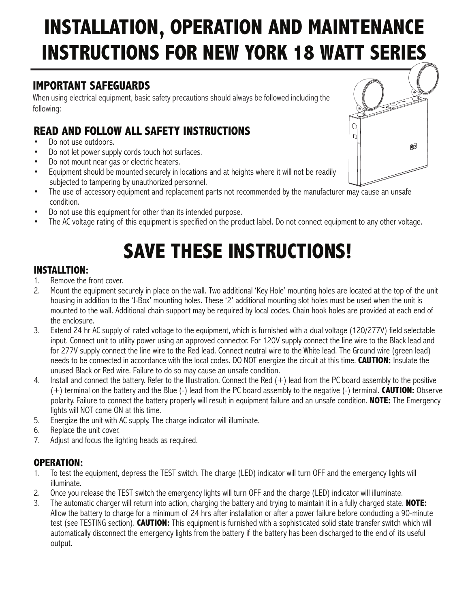# **INSTALLATION, OPERATION AND MAINTENANCE INSTRUCTIONS FOR NEW YORK 18 WATT SERIES**

### **IMPORTANT SAFEGUARDS**

When using electrical equipment, basic safety precautions should always be followed including the following:

## **READ AND FOLLOW ALL SAFETY INSTRUCTIONS**

- Do not use outdoors.
- Do not let power supply cords touch hot surfaces.
- Do not mount near gas or electric heaters.
- Equipment should be mounted securely in locations and at heights where it will not be readily subjected to tampering by unauthorized personnel.
- The use of accessory equipment and replacement parts not recommended by the manufacturer may cause an unsafe condition.
- Do not use this equipment for other than its intended purpose.
- The AC voltage rating of this equipment is specified on the product label. Do not connect equipment to any other voltage.

# **SAVE THESE INSTRUCTIONS!**

### **INSTALLTION:**

- 1. Remove the front cover.
- 2. Mount the equipment securely in place on the wall. Two additional 'Key Hole' mounting holes are located at the top of the unit housing in addition to the 'J-Box' mounting holes. These '2' additional mounting slot holes must be used when the unit is mounted to the wall. Additional chain support may be required by local codes. Chain hook holes are provided at each end of the enclosure.
- 3. Extend 24 hr AC supply of rated voltage to the equipment, which is furnished with a dual voltage (120/277V) field selectable input. Connect unit to utility power using an approved connector. For 120V supply connect the line wire to the Black lead and for 277V supply connect the line wire to the Red lead. Connect neutral wire to the White lead. The Ground wire (green lead) needs to be connected in accordance with the local codes. DO NOT energize the circuit at this time. **CAUTION:** Insulate the unused Black or Red wire. Failure to do so may cause an unsafe condition.
- 4. Install and connect the battery. Refer to the Illustration. Connect the Red (+) lead from the PC board assembly to the positive (+) terminal on the battery and the Blue (-) lead from the PC board assembly to the negative (-) terminal. **CAUTION:** Observe polarity. Failure to connect the battery properly will result in equipment failure and an unsafe condition. **NOTE:** The Emergency lights will NOT come ON at this time.
- 5. Energize the unit with AC supply. The charge indicator will illuminate.
- 6. Replace the unit cover.
- 7. Adjust and focus the lighting heads as required.

### **OPERATION:**

- 1. To test the equipment, depress the TEST switch. The charge (LED) indicator will turn OFF and the emergency lights will illuminate.
- 2. Once you release the TEST switch the emergency lights will turn OFF and the charge (LED) indicator will illuminate.<br>3. The automatic charger will return into action, charging the battery and trying to maintain it in a f
- 3. The automatic charger will return into action, charging the battery and trying to maintain it in a fully charged state. **NOTE:** Allow the battery to charge for a minimum of 24 hrs after installation or after a power failure before conducting a 90-minute test (see TESTING section). **CAUTION:** This equipment is furnished with a sophisticated solid state transfer switch which will automatically disconnect the emergency lights from the battery if the battery has been discharged to the end of its useful output.

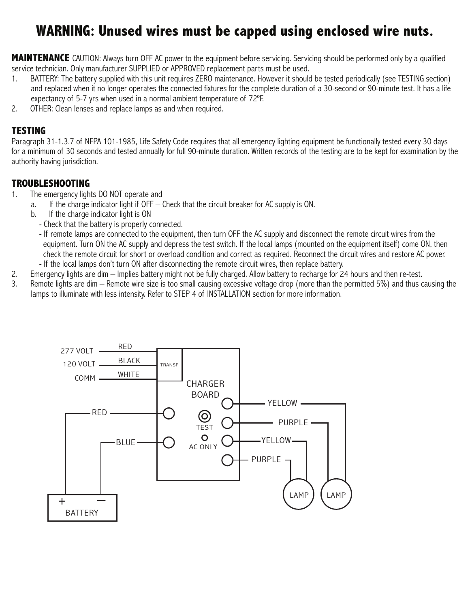## **WARNING: Unused wires must be capped using enclosed wire nuts.**

**MAINTENANCE** CAUTION: Always turn OFF AC power to the equipment before servicing. Servicing should be performed only by a qualified service technician. Only manufacturer SUPPLIED or APPROVED replacement parts must be used.

- 1. BATTERY: The battery supplied with this unit requires ZERO maintenance. However it should be tested periodically (see TESTING section) and replaced when it no longer operates the connected fixtures for the complete duration of a 30-second or 90-minute test. It has a life expectancy of 5-7 yrs when used in a normal ambient temperature of 72ºF.
- 2. OTHER: Clean lenses and replace lamps as and when required.

### **TESTING**

Paragraph 31-1.3.7 of NFPA 101-1985, Life Safety Code requires that all emergency lighting equipment be functionally tested every 30 days for a minimum of 30 seconds and tested annually for full 90-minute duration. Written records of the testing are to be kept for examination by the authority having jurisdiction.

### **TROUBLESHOOTING**

- 1. The emergency lights DO NOT operate and
	- a. If the charge indicator light if OFF Check that the circuit breaker for AC supply is ON.
	- b. If the charge indicator light is ON
		- Check that the battery is properly connected.
		- If remote lamps are connected to the equipment, then turn OFF the AC supply and disconnect the remote circuit wires from the equipment. Turn ON the AC supply and depress the test switch. If the local lamps (mounted on the equipment itself) come ON, then check the remote circuit for short or overload condition and correct as required. Reconnect the circuit wires and restore AC power.
	- If the local lamps don't turn ON after disconnecting the remote circuit wires, then replace battery.
- 2. Emergency lights are dim Implies battery might not be fully charged. Allow battery to recharge for 24 hours and then re-test.<br>3. Remote lights are dim Remote wire size is too small causing excessive voltage drop (mo
- Remote lights are dim Remote wire size is too small causing excessive voltage drop (more than the permitted 5%) and thus causing the lamps to illuminate with less intensity. Refer to STEP 4 of INSTALLATION section for more information.

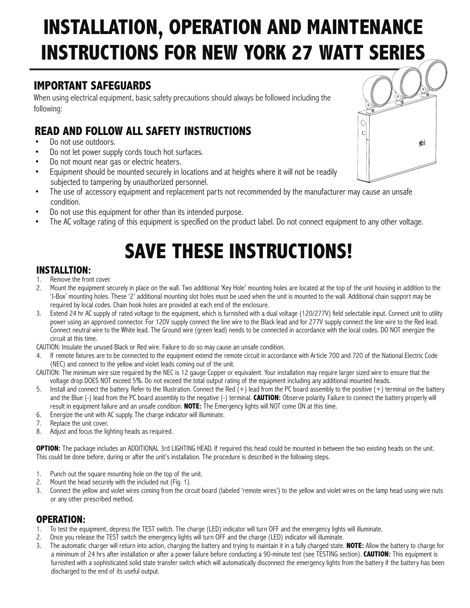# **INSTALLATION, OPERATION AND MAINTENANCE INSTRUCTIONS FOR NEW YORK 27 WATT SERIES**

### **IMPORTANT SAFEGUARDS**

When using electrical equipment, basic safety precautions should always be followed including the following:

### **READ AND FOLLOW ALL SAFETY INSTRUCTIONS**

- Do not use outdoors.
- Do not let power supply cords touch hot surfaces.
- Do not mount near gas or electric heaters.
- Equipment should be mounted securely in locations and at heights where it will not be readily subjected to tampering by unauthorized personnel.
- The use of accessory equipment and replacement parts not recommended by the manufacturer may cause an unsafe condition.
- Do not use this equipment for other than its intended purpose.
- The AC voltage rating of this equipment is specified on the product label. Do not connect equipment to any other voltage.

# **SAVE THESE INSTRUCTIONS!**

### **INSTALLTION:**

- 1. Remove the front cover.
- 2. Mount the equipment securely in place on the wall. Two additional 'Key Hole' mounting holes are located at the top of the unit housing in addition to the 'J-Box' mounting holes. These '2' additional mounting slot holes must be used when the unit is mounted to the wall. Additional chain support may be required by local codes. Chain hook holes are provided at each end of the enclosure.
- 3. Extend 24 hr AC supply of rated voltage to the equipment, which is furnished with a dual voltage (120/277V) field selectable input. Connect unit to utility power using an approved connector. For 120V supply connect the line wire to the Black lead and for 277V supply connect the line wire to the Red lead. Connect neutral wire to the White lead. The Ground wire (green lead) needs to be connected in accordance with the local codes. DO NOT energize the circuit at this time.

CAUTION: Insulate the unused Black or Red wire. Failure to do so may cause an unsafe condition.

4. If remote fixtures are to be connected to the equipment extend the remote circuit in accordance with Article 700 and 720 of the National Electric Code (NEC) and connect to the yellow and violet leads coming out of the unit.

CAUTION: The minimum wire size required by the NEC is 12 gauge Copper or equivalent. Your installation may require larger sized wire to ensure that the voltage drop DOES NOT exceed 5%. Do not exceed the total output rating of the equipment including any additional mounted heads.

- 5. Install and connect the battery. Refer to the Illustration. Connect the Red (+) lead from the PC board assembly to the positive (+) terminal on the battery and the Blue (-) lead from the PC board assembly to the negative (-) terminal. **CAUTION:** Observe polarity. Failure to connect the battery properly will result in equipment failure and an unsafe condition. **NOTE:** The Emergency lights will NOT come ON at this time.
- 6. Energize the unit with AC supply. The charge indicator will illuminate.
- 7. Replace the unit cover.
- 8. Adjust and focus the lighting heads as required.

**OPTION:** The package includes an ADDITIONAL 3rd LIGHTING HEAD. If required this head could be mounted in between the two existing heads on the unit. This could be done before, during or after the unit's installation. The procedure is described in the following steps.

- 1. Punch out the square mounting hole on the top of the unit.
- 2. Mount the head securely with the included nut (Fig. 1).
- 3. Connect the yellow and violet wires coming from the circuit board (labeled 'remote wires') to the yellow and violet wires on the lamp head using wire nuts or any other prescribed method.

#### **OPERATION:**

- 1. To test the equipment, depress the TEST switch. The charge (LED) indicator will turn OFF and the emergency lights will illuminate.
- 2. Once you release the TEST switch the emergency lights will turn OFF and the charge (LED) indicator will illuminate.
- 3. The automatic charger will return into action, charging the battery and trying to maintain it in a fully charged state. **NOTE:** Allow the battery to charge for a minimum of 24 hrs after installation or after a power failure before conducting a 90-minute test (see TESTING section). **CAUTION:** This equipment is furnished with a sophisticated solid state transfer switch which will automatically disconnect the emergency lights from the battery if the battery has been discharged to the end of its useful output.

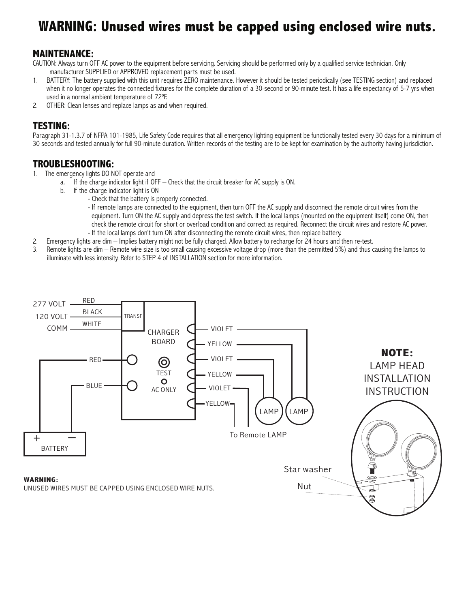## **WARNING: Unused wires must be capped using enclosed wire nuts.**

### **MAINTENANCE:**

CAUTION: Always turn OFF AC power to the equipment before servicing. Servicing should be performed only by a qualified service technician. Only manufacturer SUPPLIED or APPROVED replacement parts must be used.

- 1. BATTERY: The battery supplied with this unit requires ZERO maintenance. However it should be tested periodically (see TESTING section) and replaced when it no longer operates the connected fixtures for the complete duration of a 30-second or 90-minute test. It has a life expectancy of 5-7 yrs when used in a normal ambient temperature of 72ºF.
- 2. OTHER: Clean lenses and replace lamps as and when required.

#### **TESTING:**

Paragraph 31-1.3.7 of NFPA 101-1985, Life Safety Code requires that all emergency lighting equipment be functionally tested every 30 days for a minimum of 30 seconds and tested annually for full 90-minute duration. Written records of the testing are to be kept for examination by the authority having jurisdiction.

#### **TROUBLESHOOTING:**

- 1. The emergency lights DO NOT operate and
- a. If the charge indicator light if OFF Check that the circuit breaker for AC supply is ON.
	- b. If the charge indicator light is ON
		- Check that the battery is properly connected.
			- If remote lamps are connected to the equipment, then turn OFF the AC supply and disconnect the remote circuit wires from the equipment. Turn ON the AC supply and depress the test switch. If the local lamps (mounted on the equipment itself) come ON, then check the remote circuit for short or overload condition and correct as required. Reconnect the circuit wires and restore AC power. - If the local lamps don't turn ON after disconnecting the remote circuit wires, then replace battery.
- 2. Emergency lights are dim Implies battery might not be fully charged. Allow battery to recharge for 24 hours and then re-test.
- 3. Remote lights are dim Remote wire size is too small causing excessive voltage drop (more than the permitted 5%) and thus causing the lamps to illuminate with less intensity. Refer to STEP 4 of INSTALLATION section for more information.

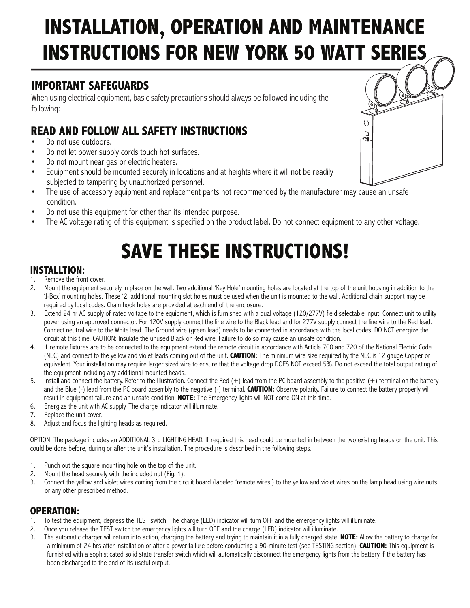# **INSTALLATION, OPERATION AND MAINTENANCE INSTRUCTIONS FOR NEW YORK 50 WATT SERIES**

### **IMPORTANT SAFEGUARDS**

When using electrical equipment, basic safety precautions should always be followed including the following:

### **READ AND FOLLOW ALL SAFETY INSTRUCTIONS**

- Do not use outdoors.
- Do not let power supply cords touch hot surfaces.
- Do not mount near gas or electric heaters.
- Equipment should be mounted securely in locations and at heights where it will not be readily subjected to tampering by unauthorized personnel.
- The use of accessory equipment and replacement parts not recommended by the manufacturer may cause an unsafe condition.
- Do not use this equipment for other than its intended purpose.
- The AC voltage rating of this equipment is specified on the product label. Do not connect equipment to any other voltage.

# **SAVE THESE INSTRUCTIONS!**

### **INSTALLTION:**

- 1. Remove the front cover.
- 2. Mount the equipment securely in place on the wall. Two additional 'Key Hole' mounting holes are located at the top of the unit housing in addition to the 'J-Box' mounting holes. These '2' additional mounting slot holes must be used when the unit is mounted to the wall. Additional chain support may be required by local codes. Chain hook holes are provided at each end of the enclosure.
- 3. Extend 24 hr AC supply of rated voltage to the equipment, which is furnished with a dual voltage (120/277V) field selectable input. Connect unit to utility power using an approved connector. For 120V supply connect the line wire to the Black lead and for 277V supply connect the line wire to the Red lead. Connect neutral wire to the White lead. The Ground wire (green lead) needs to be connected in accordance with the local codes. DO NOT energize the circuit at this time. CAUTION: Insulate the unused Black or Red wire. Failure to do so may cause an unsafe condition.
- 4. If remote fixtures are to be connected to the equipment extend the remote circuit in accordance with Article 700 and 720 of the National Electric Code (NEC) and connect to the yellow and violet leads coming out of the unit. **CAUTION:** The minimum wire size required by the NEC is 12 gauge Copper or equivalent. Your installation may require larger sized wire to ensure that the voltage drop DOES NOT exceed 5%. Do not exceed the total output rating of the equipment including any additional mounted heads.
- 5. Install and connect the battery. Refer to the Illustration. Connect the Red (+) lead from the PC board assembly to the positive (+) terminal on the battery and the Blue (-) lead from the PC board assembly to the negative (-) terminal. **CAUTION:** Observe polarity. Failure to connect the battery properly will result in equipment failure and an unsafe condition. **NOTE:** The Emergency lights will NOT come ON at this time.
- 6. Energize the unit with AC supply. The charge indicator will illuminate.
- 7. Replace the unit cover.
- 8. Adjust and focus the lighting heads as required.

OPTION: The package includes an ADDITIONAL 3rd LIGHTING HEAD. If required this head could be mounted in between the two existing heads on the unit. This could be done before, during or after the unit's installation. The procedure is described in the following steps.

- 1. Punch out the square mounting hole on the top of the unit.
- 2. Mount the head securely with the included nut (Fig. 1).
- 3. Connect the yellow and violet wires coming from the circuit board (labeled 'remote wires') to the yellow and violet wires on the lamp head using wire nuts or any other prescribed method.

## **OPERATION:**<br>1. To test the equ

- 1. To test the equipment, depress the TEST switch. The charge (LED) indicator will turn OFF and the emergency lights will illuminate.
- 2. Once you release the TEST switch the emergency lights will turn OFF and the charge (LED) indicator will illuminate.
- 3. The automatic charger will return into action, charging the battery and trying to maintain it in a fully charged state. **NOTE:** Allow the battery to charge for a minimum of 24 hrs after installation or after a power failure before conducting a 90-minute test (see TESTING section). **CAUTION:** This equipment is furnished with a sophisticated solid state transfer switch which will automatically disconnect the emergency lights from the battery if the battery has been discharged to the end of its useful output.